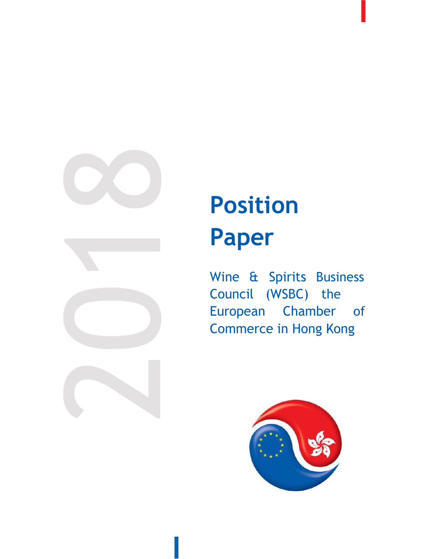

## Position Paper

Wine & Spirits Business Council (WSBC) the European Chamber of Commerce in Hong Kong

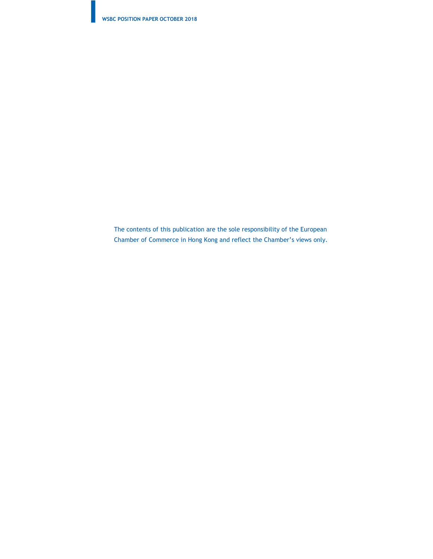The contents of this publication are the sole responsibility of the European Chamber of Commerce in Hong Kong and reflect the Chamber's views only.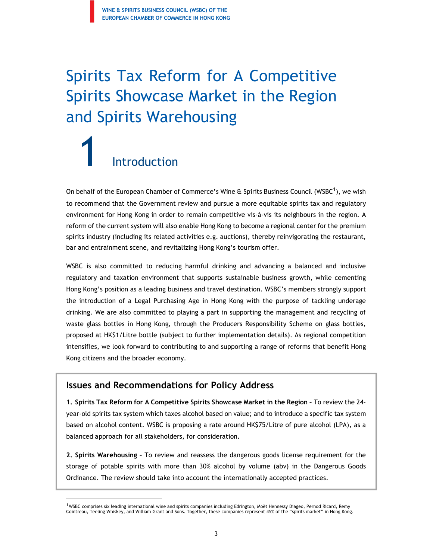### Spirits Tax Reform for A Competitive Spirits Showcase Market in the Region and Spirits Warehousing

# 1 Introduction

On behalf of the European Chamber of Commerce's Wine & Spirits Business Council (WSBC<sup>1</sup>), we wish to recommend that the Government review and pursue a more equitable spirits tax and regulatory environment for Hong Kong in order to remain competitive vis-à-vis its neighbours in the region. A reform of the current system will also enable Hong Kong to become a regional center for the premium spirits industry (including its related activities e.g. auctions), thereby reinvigorating the restaurant, bar and entrainment scene, and revitalizing Hong Kong's tourism offer.

WSBC is also committed to reducing harmful drinking and advancing a balanced and inclusive regulatory and taxation environment that supports sustainable business growth, while cementing Hong Kong's position as a leading business and travel destination. WSBC's members strongly support the introduction of a Legal Purchasing Age in Hong Kong with the purpose of tackling underage drinking. We are also committed to playing a part in supporting the management and recycling of waste glass bottles in Hong Kong, through the Producers Responsibility Scheme on glass bottles, proposed at HK\$1/Litre bottle (subject to further implementation details). As regional competition intensifies, we look forward to contributing to and supporting a range of reforms that benefit Hong Kong citizens and the broader economy.

#### Issues and Recommendations for Policy Address

1. Spirits Tax Reform for A Competitive Spirits Showcase Market in the Region – To review the 24 year-old spirits tax system which taxes alcohol based on value; and to introduce a specific tax system based on alcohol content. WSBC is proposing a rate around HK\$75/Litre of pure alcohol (LPA), as a balanced approach for all stakeholders, for consideration.

2. Spirits Warehousing – To review and reassess the dangerous goods license requirement for the storage of potable spirits with more than 30% alcohol by volume (abv) in the Dangerous Goods Ordinance. The review should take into account the internationally accepted practices.

<sup>&</sup>lt;sup>1</sup> WSBC comprises six leading international wine and spirits companies including Edrington, Moët Hennessy Diageo, Pernod Ricard, Remy Cointreau, Teeling Whiskey, and William Grant and Sons. Together, these companies represent 45% of the "spirits market" in Hong Kong.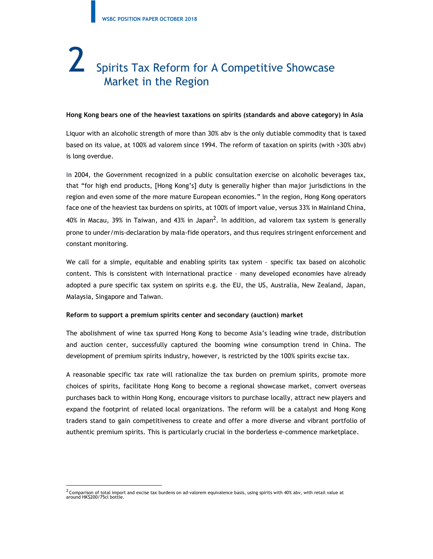## 2 Spirits Tax Reform for A Competitive Showcase Market in the Region

#### Hong Kong bears one of the heaviest taxations on spirits (standards and above category) in Asia

Liquor with an alcoholic strength of more than 30% abv is the only dutiable commodity that is taxed based on its value, at 100% ad valorem since 1994. The reform of taxation on spirits (with >30% abv) is long overdue.

In 2004, the Government recognized in a public consultation exercise on alcoholic beverages tax, that "for high end products, [Hong Kong's] duty is generally higher than major jurisdictions in the region and even some of the more mature European economies." In the region, Hong Kong operators face one of the heaviest tax burdens on spirits, at 100% of import value, versus 33% in Mainland China, 40% in Macau, 39% in Taiwan, and 43% in Japan<sup>2</sup>. In addition, ad valorem tax system is generally prone to under/mis-declaration by mala-fide operators, and thus requires stringent enforcement and constant monitoring.

We call for a simple, equitable and enabling spirits tax system – specific tax based on alcoholic content. This is consistent with international practice – many developed economies have already adopted a pure specific tax system on spirits e.g. the EU, the US, Australia, New Zealand, Japan, Malaysia, Singapore and Taiwan.

#### Reform to support a premium spirits center and secondary (auction) market

The abolishment of wine tax spurred Hong Kong to become Asia's leading wine trade, distribution and auction center, successfully captured the booming wine consumption trend in China. The development of premium spirits industry, however, is restricted by the 100% spirits excise tax.

A reasonable specific tax rate will rationalize the tax burden on premium spirits, promote more choices of spirits, facilitate Hong Kong to become a regional showcase market, convert overseas purchases back to within Hong Kong, encourage visitors to purchase locally, attract new players and expand the footprint of related local organizations. The reform will be a catalyst and Hong Kong traders stand to gain competitiveness to create and offer a more diverse and vibrant portfolio of authentic premium spirits. This is particularly crucial in the borderless e-commence marketplace.

 $^2$  Comparison of total import and excise tax burdens on ad-valorem equivalence basis, using spirits with 40% abv, with retail value at around HK\$200/75cl bottle.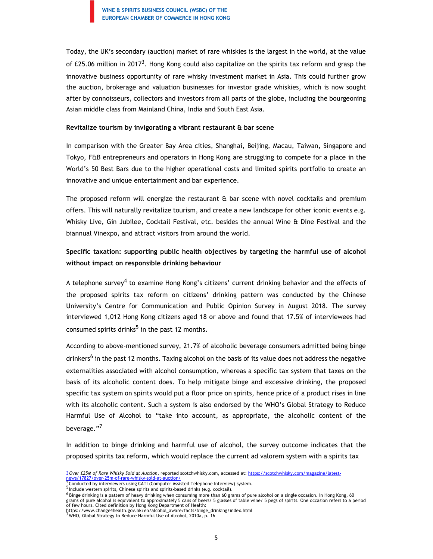Today, the UK's secondary (auction) market of rare whiskies is the largest in the world, at the value of £25.06 million in 2017<sup>3</sup>. Hong Kong could also capitalize on the spirits tax reform and grasp the innovative business opportunity of rare whisky investment market in Asia. This could further grow the auction, brokerage and valuation businesses for investor grade whiskies, which is now sought after by connoisseurs, collectors and investors from all parts of the globe, including the bourgeoning Asian middle class from Mainland China, India and South East Asia.

#### Revitalize tourism by invigorating a vibrant restaurant & bar scene

In comparison with the Greater Bay Area cities, Shanghai, Beijing, Macau, Taiwan, Singapore and Tokyo, F&B entrepreneurs and operators in Hong Kong are struggling to compete for a place in the World's 50 Best Bars due to the higher operational costs and limited spirits portfolio to create an innovative and unique entertainment and bar experience.

The proposed reform will energize the restaurant  $\hat{a}$  bar scene with novel cocktails and premium offers. This will naturally revitalize tourism, and create a new landscape for other iconic events e.g. Whisky Live, Gin Jubilee, Cocktail Festival, etc. besides the annual Wine & Dine Festival and the biannual Vinexpo, and attract visitors from around the world.

#### Specific taxation: supporting public health objectives by targeting the harmful use of alcohol without impact on responsible drinking behaviour

A telephone survey<sup>4</sup> to examine Hong Kong's citizens' current drinking behavior and the effects of the proposed spirits tax reform on citizens' drinking pattern was conducted by the Chinese University's Centre for Communication and Public Opinion Survey in August 2018. The survey interviewed 1,012 Hong Kong citizens aged 18 or above and found that 17.5% of interviewees had consumed spirits drinks<sup>5</sup> in the past 12 months.

According to above-mentioned survey, 21.7% of alcoholic beverage consumers admitted being binge drinkers<sup>6</sup> in the past 12 months. Taxing alcohol on the basis of its value does not address the negative externalities associated with alcohol consumption, whereas a specific tax system that taxes on the basis of its alcoholic content does. To help mitigate binge and excessive drinking, the proposed specific tax system on spirits would put a floor price on spirits, hence price of a product rises in line with its alcoholic content. Such a system is also endorsed by the WHO's Global Strategy to Reduce Harmful Use of Alcohol to "take into account, as appropriate, the alcoholic content of the beverage."<sup>7</sup>

In addition to binge drinking and harmful use of alcohol, the survey outcome indicates that the proposed spirits tax reform, which would replace the current ad valorem system with a spirits tax

Include western spirits, Chinese spirits and spirits-based drinks (e.g. cocktail).

<sup>3</sup>Over £25M of Rare Whisky Sold at Auction, reported scotchwhisky.com, accessed at: https://scotchwhisky.com/magazine/latest-<br>news/17827/over-25m-of-rare-whisky-sold-at-auction/ news/17827/over-25m-of-rare-whisky-sold-at-auction/<br>Tonducted by interviewers using CATI (Computer Assisted Telephone Interview) system.

 $^6$  Binge drinking is a pattern of heavy drinking when consuming more than 60 grams of pure alcohol on a single occasion. In Hong Kong, 60 grams of pure alcohol is equivalent to approximately 5 cans of beers/ 5 glasses of table wine/ 5 pegs of spirits. One occasion refers to a period of few hours. Cited definition by Hong Kong Department of Health:

on termours. Crices deriminal by nong source and the health.gov.hk/en/alcohol\_aware/facts/binge\_drinking/index.html 7WHO, Global Strategy to Reduce Harmful Use of Alcohol, 2010a, p. 16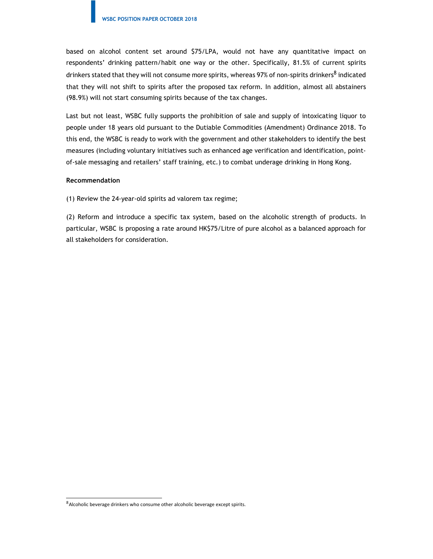based on alcohol content set around \$75/LPA, would not have any quantitative impact on respondents' drinking pattern/habit one way or the other. Specifically, 81.5% of current spirits drinkers stated that they will not consume more spirits, whereas 97% of non-spirits drinkers<sup>8</sup> indicated that they will not shift to spirits after the proposed tax reform. In addition, almost all abstainers (98.9%) will not start consuming spirits because of the tax changes.

Last but not least, WSBC fully supports the prohibition of sale and supply of intoxicating liquor to people under 18 years old pursuant to the Dutiable Commodities (Amendment) Ordinance 2018. To this end, the WSBC is ready to work with the government and other stakeholders to identify the best measures (including voluntary initiatives such as enhanced age verification and identification, pointof-sale messaging and retailers' staff training, etc.) to combat underage drinking in Hong Kong.

#### Recommendation

(1) Review the 24-year-old spirits ad valorem tax regime;

(2) Reform and introduce a specific tax system, based on the alcoholic strength of products. In particular, WSBC is proposing a rate around HK\$75/Litre of pure alcohol as a balanced approach for all stakeholders for consideration.

 $8$ Alcoholic beverage drinkers who consume other alcoholic beverage except spirits.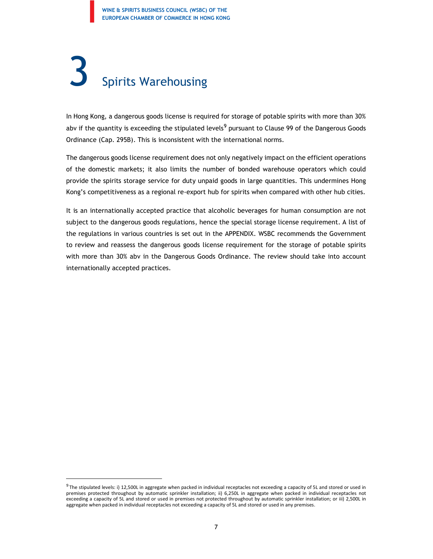## 3 Spirits Warehousing

In Hong Kong, a dangerous goods license is required for storage of potable spirits with more than 30% abv if the quantity is exceeding the stipulated levels<sup>9</sup> pursuant to Clause 99 of the Dangerous Goods Ordinance (Cap. 295B). This is inconsistent with the international norms.

The dangerous goods license requirement does not only negatively impact on the efficient operations of the domestic markets; it also limits the number of bonded warehouse operators which could provide the spirits storage service for duty unpaid goods in large quantities. This undermines Hong Kong's competitiveness as a regional re-export hub for spirits when compared with other hub cities.

It is an internationally accepted practice that alcoholic beverages for human consumption are not subject to the dangerous goods regulations, hence the special storage license requirement. A list of the regulations in various countries is set out in the APPENDIX. WSBC recommends the Government to review and reassess the dangerous goods license requirement for the storage of potable spirits with more than 30% abv in the Dangerous Goods Ordinance. The review should take into account internationally accepted practices.

 $^9$  The stipulated levels: i) 12,500L in aggregate when packed in individual receptacles not exceeding a capacity of 5L and stored or used in premises protected throughout by automatic sprinkler installation; ii) 6,250L in aggregate when packed in individual receptacles not exceeding a capacity of 5L and stored or used in premises not protected throughout by automatic sprinkler installation; or iii) 2,500L in aggregate when packed in individual receptacles not exceeding a capacity of 5L and stored or used in any premises.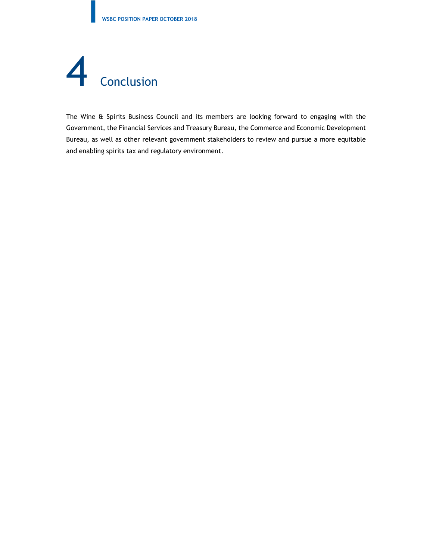

The Wine & Spirits Business Council and its members are looking forward to engaging with the Government, the Financial Services and Treasury Bureau, the Commerce and Economic Development Bureau, as well as other relevant government stakeholders to review and pursue a more equitable and enabling spirits tax and regulatory environment.